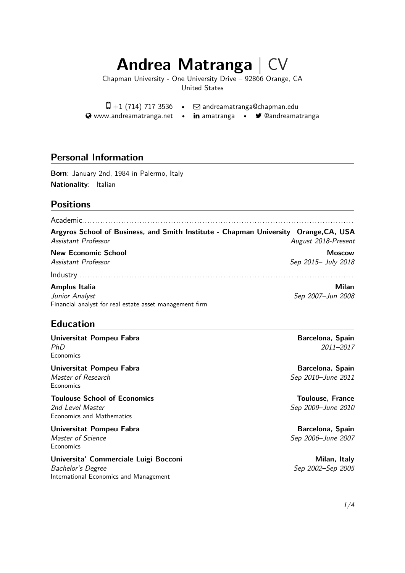# **Andrea Matranga**

Chapman University - One University Drive – 92866 Orange, CA United States

 $\Box$  +1 (714) 717 3536 •  $\Box$  andreamatranga@chapman.edu **Www.andreamatranga.net • in amatranga • •** Candreamatranga

#### **Personal [Information](http://www.andreamatranga.net)**

**Born**: January 2nd, 1984 in Palermo, Italy **Nationality**: Italian

#### **Positions**

Academic. . . . . . . . . . . . . . . . . . . . . . . . . . . . . . . . . . . . . . . . . . . . . . . . . . . . . . . . . . . . . . . . . . . . . . . . . . . . . . . . . . . . . . . . . . . . . . . . . . . . . . . . **Argyros School of Business, and Smith Institute - Chapman University Orange,CA, USA**

*Assistant Professor August 2018-Present*

**New Economic School Moscow** *Assistant Professor Sep 2015– July 2018*

#### Industry. . . . . . . . . . . . . . . . . . . . . . . . . . . . . . . . . . . . . . . . . . . . . . . . . . . . . . . . . . . . . . . . . . . . . . . . . . . . . . . . . . . . . . . . . . . . . . . . . . . . . . . . . . **Amplus Italia Milan**

*Junior Analyst Sep 2007–Jun 2008* Financial analyst for real estate asset management firm

#### **Education**

#### **Universitat Pompeu Fabra Barcelona, Spain** *PhD 2011–2017* **Economics**

**Universitat Pompeu Fabra Barcelona, Spain** *Master of Research Sep 2010–June 2011* **Economics** 

**Toulouse School of Economics Toulouse, France** *2nd Level Master Sep 2009–June 2010* Economics and Mathematics

## **Universitat Pompeu Fabra Barcelona, Spain**

**Economics** 

#### **Universita' Commerciale Luigi Bocconi Milan, Italy** *Bachelor's Degree Sep 2002–Sep 2005*

International Economics and Management

*Master of Science Sep 2006–June 2007*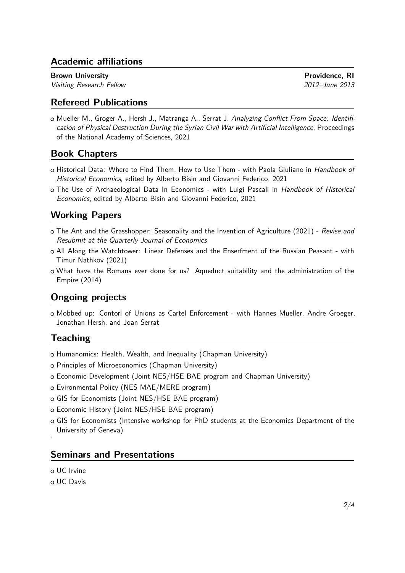## **Academic affiliations**

**Brown University Providence, RI** *Visiting Research Fellow 2012–June 2013*

#### **Refereed Publications**

○␣ Mueller M., Groger A., Hersh J., Matranga A., Serrat J. *Analyzing Conflict From Space: Identification of Physical Destruction During the Syrian Civil War with Artificial Intelligence*, Proceedings of the National Academy of Sciences, 2021

## **Book Chapters**

- ○␣ Historical Data: Where to Find Them, How to Use Them with Paola Giuliano in *Handbook of Historical Economics*, edited by Alberto Bisin and Giovanni Federico, 2021
- ○␣ The Use of Archaeological Data In Economics with Luigi Pascali in *Handbook of Historical Economics*, edited by Alberto Bisin and Giovanni Federico, 2021

#### **Working Papers**

- ○␣ The Ant and the Grasshopper: Seasonality and the Invention of Agriculture (2021) *Revise and Resubmit at the Quarterly Journal of Economics*
- ○␣ All Along the Watchtower: Linear Defenses and the Enserfment of the Russian Peasant with Timur Nathkov (2021)
- ○␣ What have the Romans ever done for us? Aqueduct suitability and the administration of the Empire (2014)

## **Ongoing projects**

○␣ Mobbed up: Contorl of Unions as Cartel Enforcement - with Hannes Mueller, Andre Groeger, Jonathan Hersh, and Joan Serrat

## **Teaching**

- o Humanomics: Health, Wealth, and Inequality (Chapman University)
- o Principles of Microeconomics (Chapman University)
- ○␣ Economic Development (Joint NES/HSE BAE program and Chapman University)
- ○␣ Evironmental Policy (NES MAE/MERE program)
- o GIS for Economists (Joint NES/HSE BAE program)
- ○␣ Economic History (Joint NES/HSE BAE program)
- ○␣ GIS for Economists (Intensive workshop for PhD students at the Economics Department of the University of Geneva) .

#### **Seminars and Presentations**

- ○␣ UC Irvine
- ○␣ UC Davis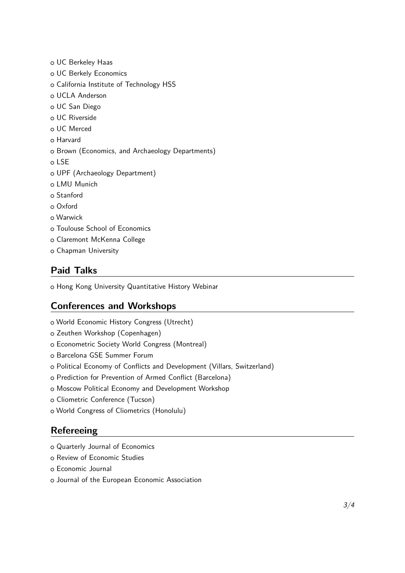- ○␣ UC Berkeley Haas
- ○␣ UC Berkely Economics
- o California Institute of Technology HSS
- o UCLA Anderson
- ○␣ UC San Diego
- ○␣ UC Riverside
- ○␣ UC Merced
- o Harvard
- o Brown (Economics, and Archaeology Departments)
- ○␣ LSE
- ○␣ UPF (Archaeology Department)
- o LMU Munich
- ○␣ Stanford
- ○␣ Oxford
- ○␣ Warwick
- o Toulouse School of Economics
- o Claremont McKenna College
- ○␣ Chapman University

## **Paid Talks**

o Hong Kong University Quantitative History Webinar

#### **Conferences and Workshops**

- ○␣ World Economic History Congress (Utrecht)
- ○␣ Zeuthen Workshop (Copenhagen)
- o Econometric Society World Congress (Montreal)
- o Barcelona GSE Summer Forum
- ○␣ Political Economy of Conflicts and Development (Villars, Switzerland)
- o Prediction for Prevention of Armed Conflict (Barcelona)
- o Moscow Political Economy and Development Workshop
- ○␣ Cliometric Conference (Tucson)
- ○␣ World Congress of Cliometrics (Honolulu)

## **Refereeing**

- ○␣ Quarterly Journal of Economics
- o Review of Economic Studies
- ○␣ Economic Journal
- o Journal of the European Economic Association